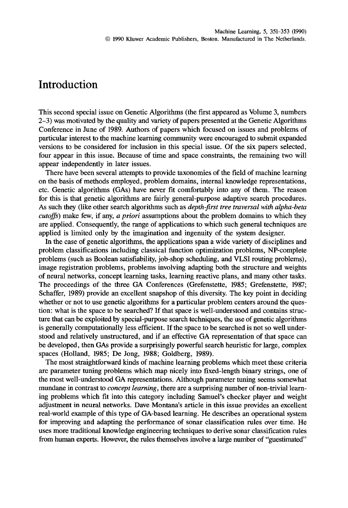## **Introduction**

This second special issue on Genetic Algorithms (the first appeared as Volume 3, numbers 2-3) was motivated by the quality and variety of papers presented at the Genetic Algorithms Conference in June of 1989. Authors of papers which focused on issues and problems of particular interest to the machine learning community were encouraged to submit expanded versions to be considered for inclusion in this special issue. Of the six papers selected, four appear in this issue. Because of time and space constraints, the remaining two will appear independently in later issues.

There have been several attempts to provide taxonomies of the field of machine learning on the basis of methods employed, problem domains, internal knowledge representations, etc. Genetic algorithms (GAs) have never fit comfortably into any of them. The reason for this is that genetic algorithms are fairly general-purpose adaptive search procedures. As such they (like other search algorithms such as *depth-first tree traversal with alpha-beta cutoffs)* make few, if *any, a priori* assumptions about the problem domains to which they are applied. Consequently, the range of applications to which such general techniques are applied is limited only by the imagination and ingenuity of the system designer.

In the case of genetic algorithms, the applications span a wide variety of disciplines and problem classifications including classical function optimization problems, NP-complete problems (such as Boolean satisfiability, job-shop scheduling, and VLSI routing problems), image registration problems, problems involving adapting both the structure and weights of neural networks, concept learning tasks, learning reactive plans, and many other tasks. The proceedings of the three GA Conferences (Grefenstette, 1985; Grefenstette, 1987; Schaffer, 1989) provide an excellent snapshop of this diversity. The key point in deciding whether or not to use genetic algorithms for a particular problem centers around the question: what is the space to be searched? If that space is well-understood and contains structure that can be exploited by special-purpose search techniques, the use of genetic algorithms is generally computationally less efficient. If the space to be searched is not so well understood and relatively unstructured, and if an effective GA representation of that space can be developed, then GAs provide a surprisingly powerful search heuristic for large, complex spaces (Holland, 1985; De Jong, 1988; Goldberg, 1989).

The most straightforward kinds of machine learning problems which meet these criteria are parameter tuning problems which map nicely into fixed-length binary strings, one of the most well-understood GA representations. Although parameter tuning seems somewhat mundane in contrast to *concept learning,* there are a surprising number of non-trivial learning problems which fit into this category including Samuel's checker player and weight adjustment in neural networks. Dave Montana's article in this issue provides an excellent real-world example of this type of GA-based learning. He describes an operational system for improving and adapting the performance of sonar classification rules over time. He uses more traditional knowledge engineering techniques to derive sonar classification rules from human experts. However, the rules themselves involve a large number of "guesfimated"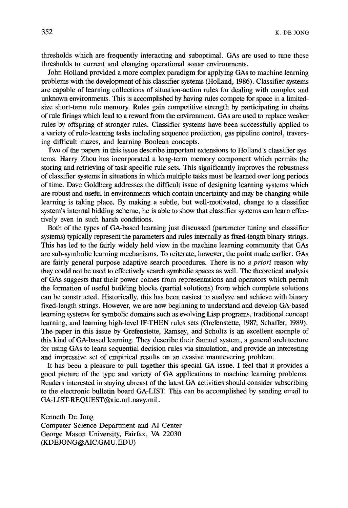thresholds which are frequently interacting and suboptimal. GAs are used to tune these thresholds to current and changing operational sonar environments.

John Holland provided a more complex paradigm for applying GAs to machine learning problems with the development of his classifier systems (Holland, 1986). Classifier systems are capable of learning collections of situation-action rules for dealing with complex and unknown environments. This is accomplished by having rules compete for space in a limitedsize short-term rule memory. Rules gain competitive strength by participating in chains of rule firings which lead to a reward from the environment. GAs are used to replace weaker rules by offspring of stronger rules. Classifier systems have been successfully applied to a variety of rule-learning tasks including sequence prediction, gas pipeline control, traversing difficult mazes, and learning Boolean concepts.

Two of the papers in this issue describe important extensions to Holland's classifier systems. Harry Zhou has incorporated a long-term memory component which permits the storing and retrieving of task-specific rule sets. This significantly improves the robustness of classifier systems in situations in which multiple tasks must be learned over long periods of time. Dave Goldberg addresses the difficult issue of designing learning systems which are robust and useful in environments which contain uncertainty and may be changing while learning is taking place. By making a subtle, but well-motivated, change to a classifier system's internal bidding scheme, he is able to show that classifier systems can learn effectively even in such harsh conditions.

Both of the types of GA-based learning just discussed (parameter tuning and classifier systems) typically represent the parameters and rules internally as fixed-length binary strings. This has led to the fairly widely held view in the machine learning community that GAs are sub-symbolic learning mechanisms. To reiterate, however, the point made earlier: GAs are fairly general purpose adaptive search procedures. There is no *a priori* reason why they could not be used to effectively search symbolic spaces as well. The theoretical analysis of GAs suggests that their power comes from representations and operators which permit the formation of useful building blocks (partial solutions) from which complete solutions can be constructed. Historically, this has been easiest to analyze and achieve with binary fixed-length strings. However, we are now beginning to understand and develop GA-based learning systems for symbolic domains such as evolving Lisp programs, traditional concept learning, and learning high-level IF-THEN rules sets (Grefenstette, 1987; Schaffer, 1989). The paper in this issue by Grefenstette, Ramsey, and Schultz is an excellent example of this kind of GA-based learning. They describe their Samuel system, a general architecture for using GAs to learn sequential decision rules via simulation, and provide an interesting and impressive set of empirical results on an evasive manuevering problem.

It has been a pleasure to pull together this special GA issue. I feel that it provides a good picture of the type and variety of GA applications to machine learning problems. Readers interested in staying abreast of the latest GA activities should consider subscribing to the electronic bulletin board GA-LIST. This can be accomplished by sending email to GA-LIST-REQUEST@aic. nrl.navy.mil.

Kenneth De Jong Computer Science Department and AI Center George Mason University, Fairfax, VA 22030 (KDEJONG@AIC.GMU. EDU)